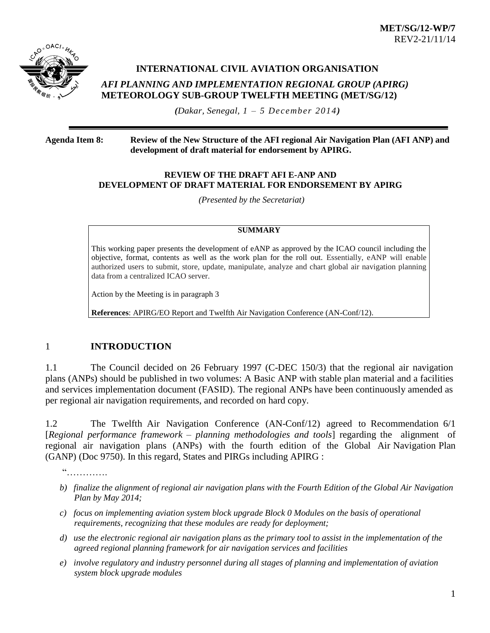



# **INTERNATIONAL CIVIL AVIATION ORGANISATION**  *AFI PLANNING AND IMPLEMENTATION REGIONAL GROUP (APIRG)* **METEOROLOGY SUB-GROUP TWELFTH MEETING (MET/SG/12)**

*(Dakar, Senegal, 1 – 5 December 2014)*

#### **Agenda Item 8: Review of the New Structure of the AFI regional Air Navigation Plan (AFI ANP) and development of draft material for endorsement by APIRG.**

#### **REVIEW OF THE DRAFT AFI E-ANP AND DEVELOPMENT OF DRAFT MATERIAL FOR ENDORSEMENT BY APIRG**

*(Presented by the Secretariat)*

#### **SUMMARY**

This working paper presents the development of eANP as approved by the ICAO council including the objective, format, contents as well as the work plan for the roll out. Essentially, eANP will enable authorized users to submit, store, update, manipulate, analyze and chart global air navigation planning data from a centralized ICAO server.

Action by the Meeting is in paragraph 3

**References**: APIRG/EO Report and Twelfth Air Navigation Conference (AN-Conf/12).

# 1 **INTRODUCTION**

1.1 The Council decided on 26 February 1997 (C-DEC 150/3) that the regional air navigation plans (ANPs) should be published in two volumes: A Basic ANP with stable plan material and a facilities and services implementation document (FASID). The regional ANPs have been continuously amended as per regional air navigation requirements, and recorded on hard copy.

1.2 The Twelfth Air Navigation Conference (AN-Conf/12) agreed to Recommendation 6/1 [*Regional performance framework – planning methodologies and tools*] regarding the alignment of regional air navigation plans (ANPs) with the fourth edition of the Global Air Navigation Plan (GANP) (Doc 9750). In this regard, States and PIRGs including APIRG :

"………….

- *b) finalize the alignment of regional air navigation plans with the Fourth Edition of the Global Air Navigation Plan by May 2014;*
- *c) focus on implementing aviation system block upgrade Block 0 Modules on the basis of operational requirements, recognizing that these modules are ready for deployment;*
- *d) use the electronic regional air navigation plans as the primary tool to assist in the implementation of the agreed regional planning framework for air navigation services and facilities*
- *e) involve regulatory and industry personnel during all stages of planning and implementation of aviation system block upgrade modules*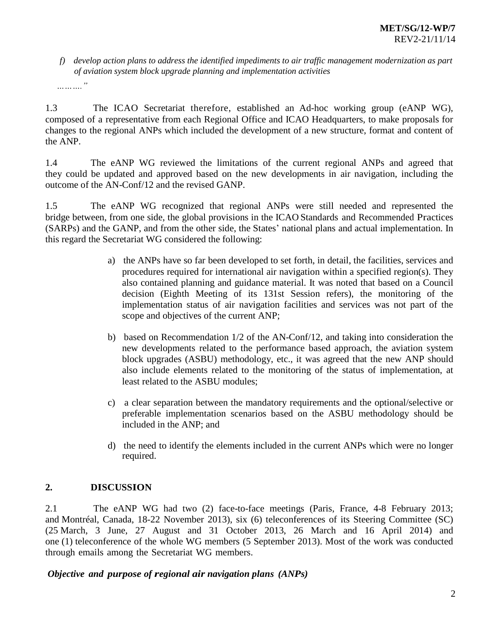*f) develop action plans to address the identified impediments to air traffic management modernization as part of aviation system block upgrade planning and implementation activities*

*………."*

1.3 The ICAO Secretariat therefore, established an Ad-hoc working group (eANP WG), composed of a representative from each Regional Office and ICAO Headquarters, to make proposals for changes to the regional ANPs which included the development of a new structure, format and content of the ANP.

1.4 The eANP WG reviewed the limitations of the current regional ANPs and agreed that they could be updated and approved based on the new developments in air navigation, including the outcome of the AN-Conf/12 and the revised GANP.

1.5 The eANP WG recognized that regional ANPs were still needed and represented the bridge between, from one side, the global provisions in the ICAO Standards and Recommended Practices (SARPs) and the GANP, and from the other side, the States' national plans and actual implementation. In this regard the Secretariat WG considered the following:

- a) the ANPs have so far been developed to set forth, in detail, the facilities, services and procedures required for international air navigation within a specified region(s). They also contained planning and guidance material. It was noted that based on a Council decision (Eighth Meeting of its 131st Session refers), the monitoring of the implementation status of air navigation facilities and services was not part of the scope and objectives of the current ANP;
- b) based on Recommendation 1/2 of the AN-Conf/12, and taking into consideration the new developments related to the performance based approach, the aviation system block upgrades (ASBU) methodology, etc., it was agreed that the new ANP should also include elements related to the monitoring of the status of implementation, at least related to the ASBU modules;
- c) a clear separation between the mandatory requirements and the optional/selective or preferable implementation scenarios based on the ASBU methodology should be included in the ANP; and
- d) the need to identify the elements included in the current ANPs which were no longer required.

# **2. DISCUSSION**

2.1 The eANP WG had two (2) face-to-face meetings (Paris, France, 4-8 February 2013; and Montréal, Canada, 18-22 November 2013), six (6) teleconferences of its Steering Committee (SC) (25 March, 3 June, 27 August and 31 October 2013, 26 March and 16 April 2014) and one (1) teleconference of the whole WG members (5 September 2013). Most of the work was conducted through emails among the Secretariat WG members.

*Objective and purpose of regional air navigation plans (ANPs)*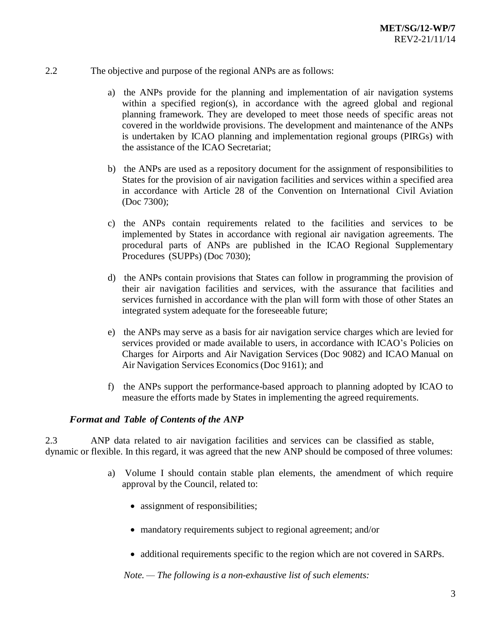- 2.2 The objective and purpose of the regional ANPs are as follows:
	- a) the ANPs provide for the planning and implementation of air navigation systems within a specified region(s), in accordance with the agreed global and regional planning framework. They are developed to meet those needs of specific areas not covered in the worldwide provisions. The development and maintenance of the ANPs is undertaken by ICAO planning and implementation regional groups (PIRGs) with the assistance of the ICAO Secretariat;
	- b) the ANPs are used as a repository document for the assignment of responsibilities to States for the provision of air navigation facilities and services within a specified area in accordance with Article 28 of the Convention on International Civil Aviation (Doc 7300);
	- c) the ANPs contain requirements related to the facilities and services to be implemented by States in accordance with regional air navigation agreements. The procedural parts of ANPs are published in the ICAO Regional Supplementary Procedures (SUPPs) (Doc 7030);
	- d) the ANPs contain provisions that States can follow in programming the provision of their air navigation facilities and services, with the assurance that facilities and services furnished in accordance with the plan will form with those of other States an integrated system adequate for the foreseeable future;
	- e) the ANPs may serve as a basis for air navigation service charges which are levied for services provided or made available to users, in accordance with ICAO's Policies on Charges for Airports and Air Navigation Services (Doc 9082) and ICAO Manual on Air Navigation Services Economics(Doc 9161); and
	- f) the ANPs support the performance-based approach to planning adopted by ICAO to measure the efforts made by States in implementing the agreed requirements.

### *Format and Table of Contents of the ANP*

2.3 ANP data related to air navigation facilities and services can be classified as stable, dynamic or flexible. In this regard, it was agreed that the new ANP should be composed of three volumes:

- a) Volume I should contain stable plan elements, the amendment of which require approval by the Council, related to:
	- assignment of responsibilities;
	- mandatory requirements subject to regional agreement; and/or
	- additional requirements specific to the region which are not covered in SARPs.

*Note. — The following is a non-exhaustive list of such elements:*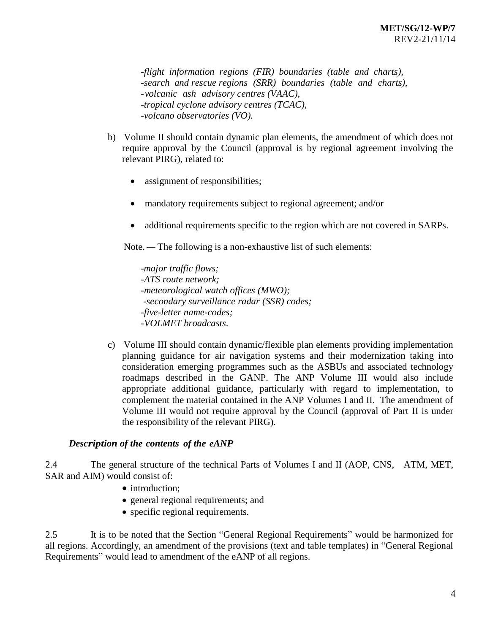*-flight information regions (FIR) boundaries (table and charts), -search and rescue regions (SRR) boundaries (table and charts), -volcanic ash advisory centres (VAAC), -tropical cyclone advisory centres (TCAC), -volcano observatories (VO).*

- b) Volume II should contain dynamic plan elements, the amendment of which does not require approval by the Council (approval is by regional agreement involving the relevant PIRG), related to:
	- assignment of responsibilities;
	- mandatory requirements subject to regional agreement; and/or
	- additional requirements specific to the region which are not covered in SARPs.

Note. — The following is a non-exhaustive list of such elements:

-*major traffic flows; -ATS route network; -meteorological watch offices (MWO); -secondary surveillance radar (SSR) codes; -five-letter name-codes; -VOLMET broadcasts*.

c) Volume III should contain dynamic/flexible plan elements providing implementation planning guidance for air navigation systems and their modernization taking into consideration emerging programmes such as the ASBUs and associated technology roadmaps described in the GANP. The ANP Volume III would also include appropriate additional guidance, particularly with regard to implementation, to complement the material contained in the ANP Volumes I and II. The amendment of Volume III would not require approval by the Council (approval of Part II is under the responsibility of the relevant PIRG).

### *Description of the contents of the eANP*

2.4 The general structure of the technical Parts of Volumes I and II (AOP, CNS, ATM, MET, SAR and AIM) would consist of:

- introduction;
- general regional requirements; and
- specific regional requirements.

2.5 It is to be noted that the Section "General Regional Requirements" would be harmonized for all regions. Accordingly, an amendment of the provisions (text and table templates) in "General Regional Requirements" would lead to amendment of the eANP of all regions.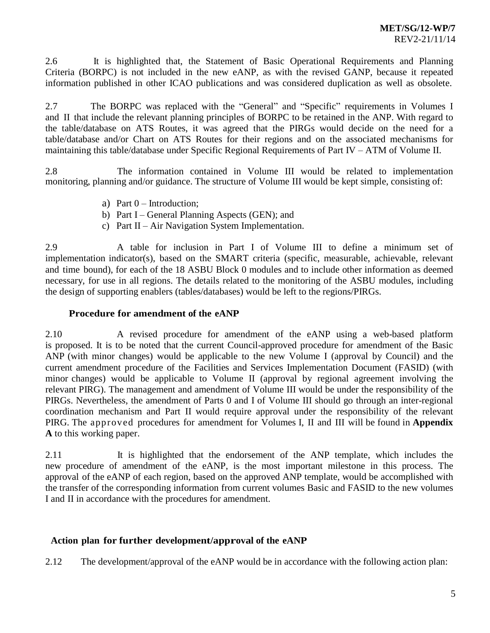2.6 It is highlighted that, the Statement of Basic Operational Requirements and Planning Criteria (BORPC) is not included in the new eANP, as with the revised GANP, because it repeated information published in other ICAO publications and was considered duplication as well as obsolete.

2.7 The BORPC was replaced with the "General" and "Specific" requirements in Volumes I and II that include the relevant planning principles of BORPC to be retained in the ANP. With regard to the table/database on ATS Routes, it was agreed that the PIRGs would decide on the need for a table/database and/or Chart on ATS Routes for their regions and on the associated mechanisms for maintaining this table/database under Specific Regional Requirements of Part IV – ATM of Volume II.

2.8 The information contained in Volume III would be related to implementation monitoring, planning and/or guidance. The structure of Volume III would be kept simple, consisting of:

- a) Part  $0$  Introduction;
- b) Part I General Planning Aspects (GEN); and
- c) Part II Air Navigation System Implementation.

2.9 A table for inclusion in Part I of Volume III to define a minimum set of implementation indicator(s), based on the SMART criteria (specific, measurable, achievable, relevant and time bound), for each of the 18 ASBU Block 0 modules and to include other information as deemed necessary, for use in all regions. The details related to the monitoring of the ASBU modules, including the design of supporting enablers (tables/databases) would be left to the regions/PIRGs.

### **Procedure for amendment of the eANP**

2.10 A revised procedure for amendment of the eANP using a web-based platform is proposed. It is to be noted that the current Council-approved procedure for amendment of the Basic ANP (with minor changes) would be applicable to the new Volume I (approval by Council) and the current amendment procedure of the Facilities and Services Implementation Document (FASID) (with minor changes) would be applicable to Volume II (approval by regional agreement involving the relevant PIRG). The management and amendment of Volume III would be under the responsibility of the PIRGs. Nevertheless, the amendment of Parts 0 and I of Volume III should go through an inter-regional coordination mechanism and Part II would require approval under the responsibility of the relevant PIRG. The approved procedures for amendment for Volumes I, II and III will be found in **Appendix A** to this working paper.

2.11 It is highlighted that the endorsement of the ANP template, which includes the new procedure of amendment of the eANP, is the most important milestone in this process. The approval of the eANP of each region, based on the approved ANP template, would be accomplished with the transfer of the corresponding information from current volumes Basic and FASID to the new volumes I and II in accordance with the procedures for amendment.

# **Action plan for further development/approval of the eANP**

2.12 The development/approval of the eANP would be in accordance with the following action plan: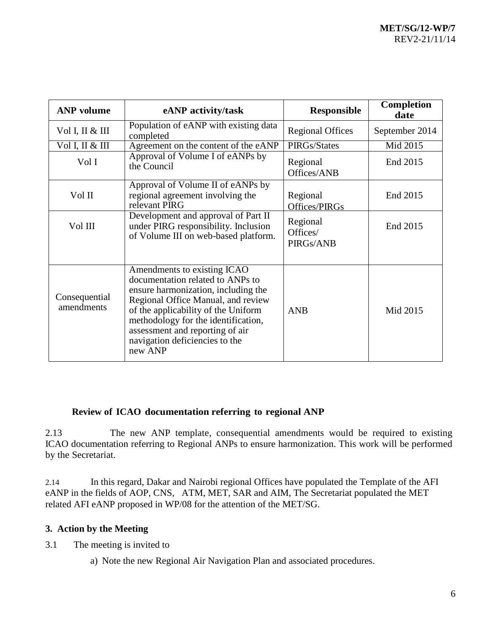| <b>ANP</b> volume           | eANP activity/task                                                                                                                                                                                                                                                                                         | <b>Responsible</b>                | Completion<br>date |
|-----------------------------|------------------------------------------------------------------------------------------------------------------------------------------------------------------------------------------------------------------------------------------------------------------------------------------------------------|-----------------------------------|--------------------|
| Vol I, II & III             | Population of eANP with existing data<br>completed                                                                                                                                                                                                                                                         | <b>Regional Offices</b>           | September 2014     |
| Vol I, II & III             | Agreement on the content of the eANP                                                                                                                                                                                                                                                                       | PIRGs/States                      | Mid 2015           |
| Vol I                       | Approval of Volume I of eANPs by<br>the Council                                                                                                                                                                                                                                                            | Regional<br>Offices/ANB           | End 2015           |
| Vol II                      | Approval of Volume II of eANPs by<br>regional agreement involving the<br>relevant PIRG                                                                                                                                                                                                                     | Regional<br>Offices/PIRGs         | End 2015           |
| Vol III                     | Development and approval of Part II<br>under PIRG responsibility. Inclusion<br>of Volume III on web-based platform.                                                                                                                                                                                        | Regional<br>Offices/<br>PIRGs/ANB | End 2015           |
| Consequential<br>amendments | Amendments to existing ICAO<br>documentation related to ANPs to<br>ensure harmonization, including the<br>Regional Office Manual, and review<br>of the applicability of the Uniform<br>methodology for the identification,<br>assessment and reporting of air<br>navigation deficiencies to the<br>new ANP | <b>ANB</b>                        | Mid 2015           |

# **Review of ICAO documentation referring to regional ANP**

2.13 The new ANP template, consequential amendments would be required to existing ICAO documentation referring to Regional ANPs to ensure harmonization. This work will be performed by the Secretariat.

2.14 In this regard, Dakar and Nairobi regional Offices have populated the Template of the AFI eANP in the fields of AOP, CNS, ATM, MET, SAR and AIM, The Secretariat populated the MET related AFI eANP proposed in WP/08 for the attention of the MET/SG.

# **3. Action by the Meeting**

3.1 The meeting is invited to

a) Note the new Regional Air Navigation Plan and associated procedures.